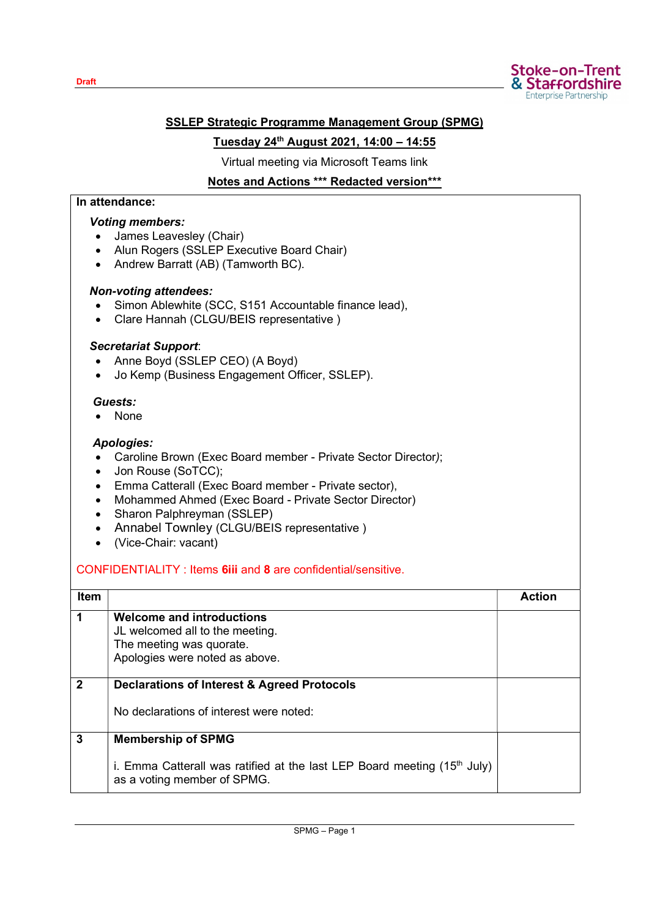

### SSLEP Strategic Programme Management Group (SPMG)

# Tuesday 24th August 2021, 14:00 – 14:55

Virtual meeting via Microsoft Teams link

# Notes and Actions \*\*\* Redacted version\*\*\*

#### In attendance:

### Voting members:

- James Leavesley (Chair)
- Alun Rogers (SSLEP Executive Board Chair)
- Andrew Barratt (AB) (Tamworth BC).

### Non-voting attendees:

- Simon Ablewhite (SCC, S151 Accountable finance lead),
- Clare Hannah (CLGU/BEIS representative )

### Secretariat Support:

- Anne Boyd (SSLEP CEO) (A Boyd)
- Jo Kemp (Business Engagement Officer, SSLEP).

#### Guests:

• None

### Apologies:

- Caroline Brown (Exec Board member Private Sector Director);
- Jon Rouse (SoTCC);
- Emma Catterall (Exec Board member Private sector),
- Mohammed Ahmed (Exec Board Private Sector Director)
- Sharon Palphreyman (SSLEP)
- Annabel Townley (CLGU/BEIS representative)
- (Vice-Chair: vacant)

# CONFIDENTIALITY : Items 6iii and 8 are confidential/sensitive.

| Item           |                                                                                                           | <b>Action</b> |  |
|----------------|-----------------------------------------------------------------------------------------------------------|---------------|--|
| $\overline{1}$ | <b>Welcome and introductions</b>                                                                          |               |  |
|                | JL welcomed all to the meeting.                                                                           |               |  |
|                | The meeting was quorate.                                                                                  |               |  |
|                | Apologies were noted as above.                                                                            |               |  |
|                |                                                                                                           |               |  |
| $\overline{2}$ | <b>Declarations of Interest &amp; Agreed Protocols</b>                                                    |               |  |
|                |                                                                                                           |               |  |
|                | No declarations of interest were noted:                                                                   |               |  |
|                |                                                                                                           |               |  |
| $\overline{3}$ | <b>Membership of SPMG</b>                                                                                 |               |  |
|                |                                                                                                           |               |  |
|                | i. Emma Catterall was ratified at the last LEP Board meeting $(15th$ July)<br>as a voting member of SPMG. |               |  |
|                |                                                                                                           |               |  |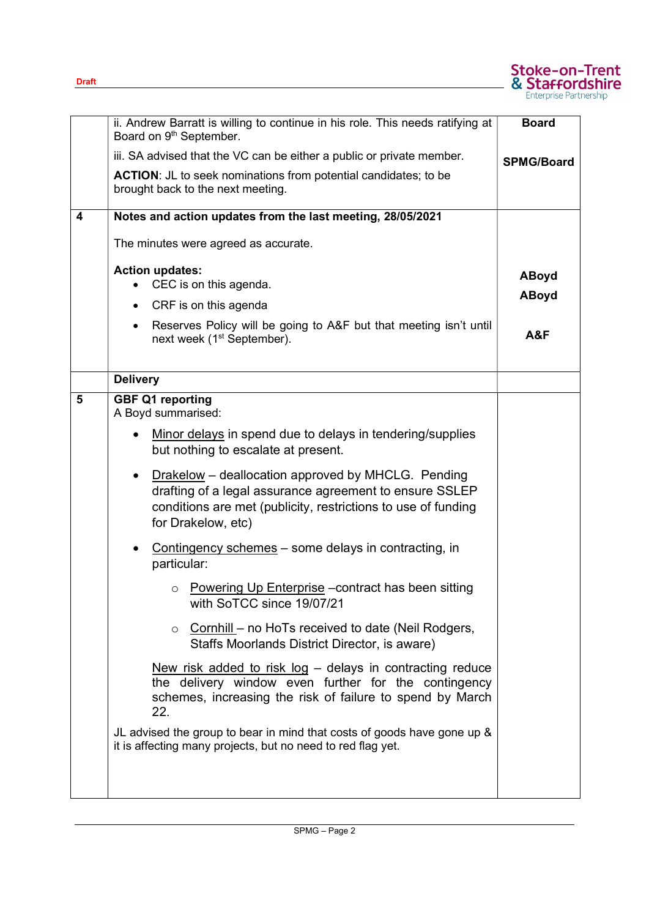

|   | ii. Andrew Barratt is willing to continue in his role. This needs ratifying at<br>Board on 9 <sup>th</sup> September.                                                                                             | <b>Board</b>      |
|---|-------------------------------------------------------------------------------------------------------------------------------------------------------------------------------------------------------------------|-------------------|
|   | iii. SA advised that the VC can be either a public or private member.                                                                                                                                             | <b>SPMG/Board</b> |
|   | <b>ACTION:</b> JL to seek nominations from potential candidates; to be<br>brought back to the next meeting.                                                                                                       |                   |
| 4 | Notes and action updates from the last meeting, 28/05/2021                                                                                                                                                        |                   |
|   | The minutes were agreed as accurate.                                                                                                                                                                              |                   |
|   | <b>Action updates:</b><br>CEC is on this agenda.                                                                                                                                                                  | <b>ABoyd</b>      |
|   | • CRF is on this agenda                                                                                                                                                                                           | <b>ABoyd</b>      |
|   | Reserves Policy will be going to A&F but that meeting isn't until<br>$\bullet$<br>next week (1 <sup>st</sup> September).                                                                                          | A&F               |
|   | <b>Delivery</b>                                                                                                                                                                                                   |                   |
| 5 | <b>GBF Q1 reporting</b><br>A Boyd summarised:                                                                                                                                                                     |                   |
|   | Minor delays in spend due to delays in tendering/supplies<br>but nothing to escalate at present.                                                                                                                  |                   |
|   | Drakelow - deallocation approved by MHCLG. Pending<br>$\bullet$<br>drafting of a legal assurance agreement to ensure SSLEP<br>conditions are met (publicity, restrictions to use of funding<br>for Drakelow, etc) |                   |
|   | Contingency schemes – some delays in contracting, in<br>particular:                                                                                                                                               |                   |
|   | Powering Up Enterprise - contract has been sitting<br>$\circ$<br>with SoTCC since 19/07/21                                                                                                                        |                   |
|   | Cornhill – no HoTs received to date (Neil Rodgers,<br>$\circ$<br>Staffs Moorlands District Director, is aware)                                                                                                    |                   |
|   | New risk added to risk log - delays in contracting reduce<br>the delivery window even further for the contingency<br>schemes, increasing the risk of failure to spend by March<br>22.                             |                   |
|   | JL advised the group to bear in mind that costs of goods have gone up &<br>it is affecting many projects, but no need to red flag yet.                                                                            |                   |
|   |                                                                                                                                                                                                                   |                   |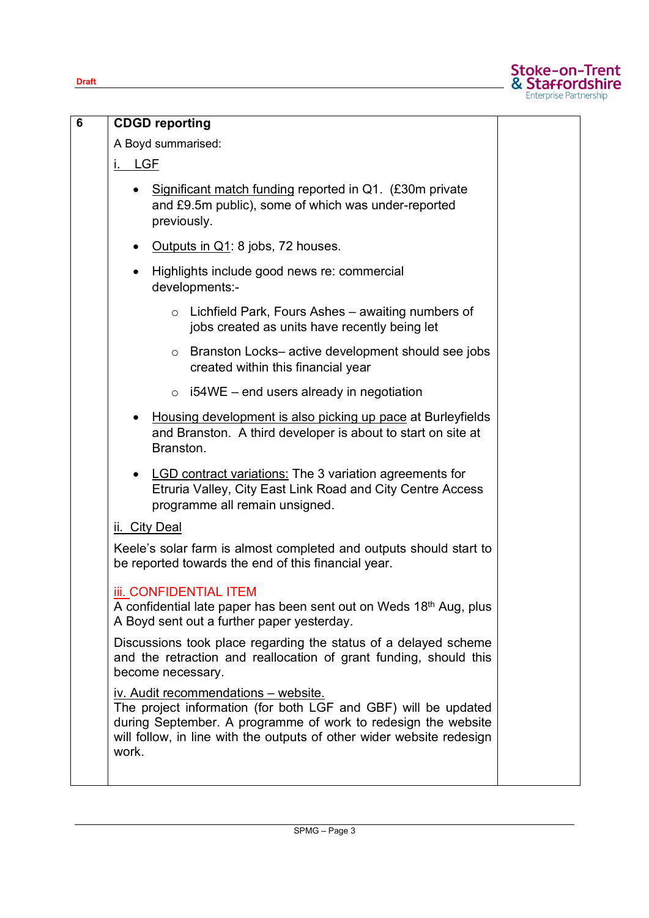

| $6\phantom{1}6$ | <b>CDGD reporting</b>                                                                                                                                                                                                                                     |  |
|-----------------|-----------------------------------------------------------------------------------------------------------------------------------------------------------------------------------------------------------------------------------------------------------|--|
|                 | A Boyd summarised:                                                                                                                                                                                                                                        |  |
|                 | i. LGF                                                                                                                                                                                                                                                    |  |
|                 | Significant match funding reported in Q1. (£30m private<br>and £9.5m public), some of which was under-reported<br>previously.                                                                                                                             |  |
|                 | Outputs in Q1: 8 jobs, 72 houses.                                                                                                                                                                                                                         |  |
|                 | Highlights include good news re: commercial<br>$\bullet$<br>developments:-                                                                                                                                                                                |  |
|                 | Lichfield Park, Fours Ashes – awaiting numbers of<br>$\circ$<br>jobs created as units have recently being let                                                                                                                                             |  |
|                 | Branston Locks– active development should see jobs<br>$\circ$<br>created within this financial year                                                                                                                                                       |  |
|                 | $\circ$ i54WE – end users already in negotiation                                                                                                                                                                                                          |  |
|                 | Housing development is also picking up pace at Burleyfields<br>and Branston. A third developer is about to start on site at<br>Branston.                                                                                                                  |  |
|                 | <b>LGD contract variations: The 3 variation agreements for</b><br>Etruria Valley, City East Link Road and City Centre Access<br>programme all remain unsigned.                                                                                            |  |
|                 | ii. City Deal                                                                                                                                                                                                                                             |  |
|                 | Keele's solar farm is almost completed and outputs should start to<br>be reported towards the end of this financial year.                                                                                                                                 |  |
|                 | <b>iii. CONFIDENTIAL ITEM</b><br>A confidential late paper has been sent out on Weds 18 <sup>th</sup> Aug, plus<br>A Boyd sent out a further paper yesterday.                                                                                             |  |
|                 | Discussions took place regarding the status of a delayed scheme<br>and the retraction and reallocation of grant funding, should this<br>become necessary.                                                                                                 |  |
|                 | iv. Audit recommendations - website.<br>The project information (for both LGF and GBF) will be updated<br>during September. A programme of work to redesign the website<br>will follow, in line with the outputs of other wider website redesign<br>work. |  |
|                 |                                                                                                                                                                                                                                                           |  |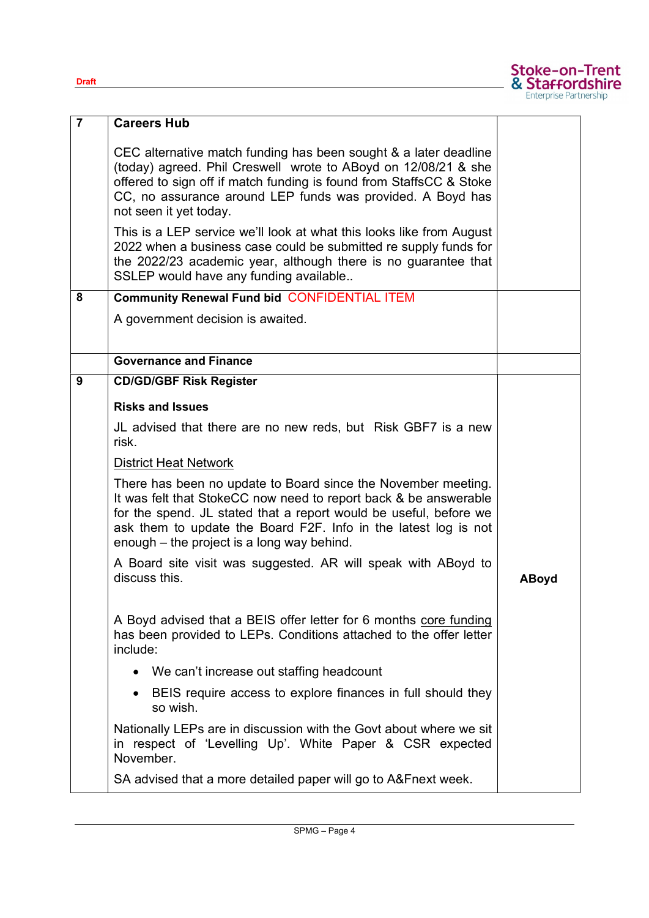

| $\overline{7}$ | <b>Careers Hub</b>                                                                                                                                                                                                                                                                                                      |              |
|----------------|-------------------------------------------------------------------------------------------------------------------------------------------------------------------------------------------------------------------------------------------------------------------------------------------------------------------------|--------------|
|                | CEC alternative match funding has been sought & a later deadline<br>(today) agreed. Phil Creswell wrote to ABoyd on 12/08/21 & she<br>offered to sign off if match funding is found from StaffsCC & Stoke<br>CC, no assurance around LEP funds was provided. A Boyd has<br>not seen it yet today.                       |              |
|                | This is a LEP service we'll look at what this looks like from August<br>2022 when a business case could be submitted re supply funds for<br>the 2022/23 academic year, although there is no guarantee that<br>SSLEP would have any funding available                                                                    |              |
| 8              | <b>Community Renewal Fund bid CONFIDENTIAL ITEM</b>                                                                                                                                                                                                                                                                     |              |
|                | A government decision is awaited.                                                                                                                                                                                                                                                                                       |              |
|                | <b>Governance and Finance</b>                                                                                                                                                                                                                                                                                           |              |
| 9              | <b>CD/GD/GBF Risk Register</b>                                                                                                                                                                                                                                                                                          |              |
|                | <b>Risks and Issues</b>                                                                                                                                                                                                                                                                                                 |              |
|                | JL advised that there are no new reds, but Risk GBF7 is a new<br>risk.                                                                                                                                                                                                                                                  |              |
|                | <b>District Heat Network</b>                                                                                                                                                                                                                                                                                            |              |
|                | There has been no update to Board since the November meeting.<br>It was felt that StokeCC now need to report back & be answerable<br>for the spend. JL stated that a report would be useful, before we<br>ask them to update the Board F2F. Info in the latest log is not<br>enough – the project is a long way behind. |              |
|                | A Board site visit was suggested. AR will speak with ABoyd to<br>discuss this.                                                                                                                                                                                                                                          | <b>ABoyd</b> |
|                | A Boyd advised that a BEIS offer letter for 6 months core funding<br>has been provided to LEPs. Conditions attached to the offer letter<br>include:                                                                                                                                                                     |              |
|                | • We can't increase out staffing headcount                                                                                                                                                                                                                                                                              |              |
|                | BEIS require access to explore finances in full should they<br>$\bullet$<br>so wish.                                                                                                                                                                                                                                    |              |
|                | Nationally LEPs are in discussion with the Govt about where we sit<br>in respect of 'Levelling Up'. White Paper & CSR expected<br>November.                                                                                                                                                                             |              |
|                | SA advised that a more detailed paper will go to A&Fnext week.                                                                                                                                                                                                                                                          |              |